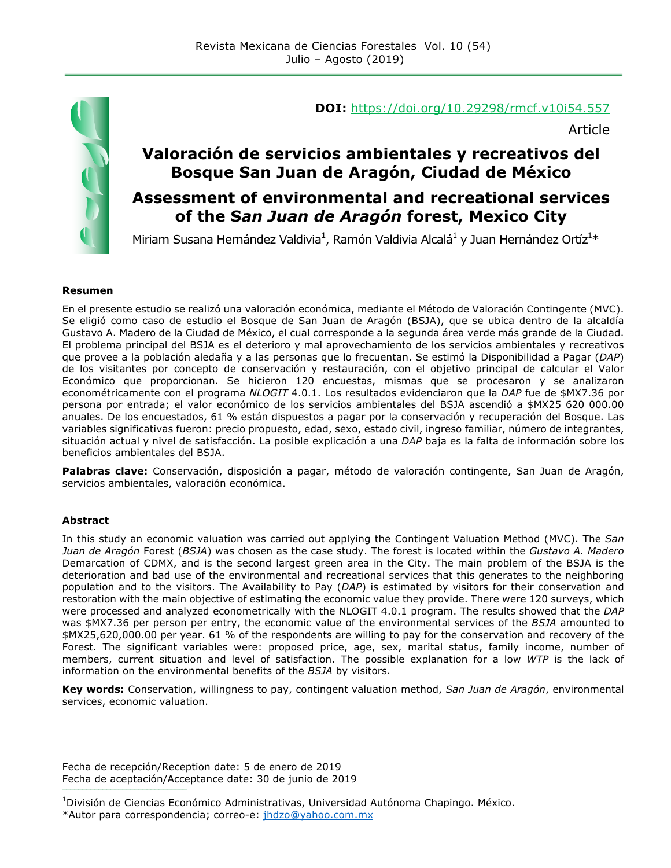

#### **DOI:** https://doi.org/10.29298/rmcf.v10i54.557

Article

### **Valoración de servicios ambientales y recreativos del Bosque San Juan de Aragón, Ciudad de México**

### **Assessment of environmental and recreational services of the S***an Juan de Aragón* **forest, Mexico City**

Miriam Susana Hernández Valdivia<sup>1</sup>, Ramón Valdivia Alcalá<sup>1</sup> y Juan Hernández Ortíz<sup>1\*</sup>

#### **Resumen**

En el presente estudio se realizó una valoración económica, mediante el Método de Valoración Contingente (MVC). Se eligió como caso de estudio el Bosque de San Juan de Aragón (BSJA), que se ubica dentro de la alcaldía Gustavo A. Madero de la Ciudad de México, el cual corresponde a la segunda área verde más grande de la Ciudad. El problema principal del BSJA es el deterioro y mal aprovechamiento de los servicios ambientales y recreativos que provee a la población aledaña y a las personas que lo frecuentan. Se estimó la Disponibilidad a Pagar (*DAP*) de los visitantes por concepto de conservación y restauración, con el objetivo principal de calcular el Valor Económico que proporcionan. Se hicieron 120 encuestas, mismas que se procesaron y se analizaron econométricamente con el programa *NLOGIT* 4.0.1. Los resultados evidenciaron que la *DAP* fue de \$MX7.36 por persona por entrada; el valor económico de los servicios ambientales del BSJA ascendió a \$MX25 620 000.00 anuales. De los encuestados, 61 % están dispuestos a pagar por la conservación y recuperación del Bosque. Las variables significativas fueron: precio propuesto, edad, sexo, estado civil, ingreso familiar, número de integrantes, situación actual y nivel de satisfacción. La posible explicación a una *DAP* baja es la falta de información sobre los beneficios ambientales del BSJA.

**Palabras clave:** Conservación, disposición a pagar, método de valoración contingente, San Juan de Aragón, servicios ambientales, valoración económica.

#### **Abstract**

In this study an economic valuation was carried out applying the Contingent Valuation Method (MVC). The *San Juan de Aragón* Forest (*BSJA*) was chosen as the case study. The forest is located within the *Gustavo A. Madero* Demarcation of CDMX, and is the second largest green area in the City. The main problem of the BSJA is the deterioration and bad use of the environmental and recreational services that this generates to the neighboring population and to the visitors. The Availability to Pay (*DAP*) is estimated by visitors for their conservation and restoration with the main objective of estimating the economic value they provide. There were 120 surveys, which were processed and analyzed econometrically with the NLOGIT 4.0.1 program. The results showed that the *DAP* was \$MX7.36 per person per entry, the economic value of the environmental services of the *BSJA* amounted to \$MX25,620,000.00 per year. 61 % of the respondents are willing to pay for the conservation and recovery of the Forest. The significant variables were: proposed price, age, sex, marital status, family income, number of members, current situation and level of satisfaction. The possible explanation for a low *WTP* is the lack of information on the environmental benefits of the *BSJA* by visitors.

**Key words:** Conservation, willingness to pay, contingent valuation method, *San Juan de Aragón*, environmental services, economic valuation.

Fecha de recepción/Reception date: 5 de enero de 2019 Fecha de aceptación/Acceptance date: 30 de junio de 2019 **\_\_\_\_\_\_\_\_\_\_\_\_\_\_\_\_\_\_\_\_\_\_\_\_\_\_\_\_\_\_\_**

1 División de Ciencias Económico Administrativas, Universidad Autónoma Chapingo. México.

\*Autor para correspondencia; correo-e: jhdzo@yahoo.com.mx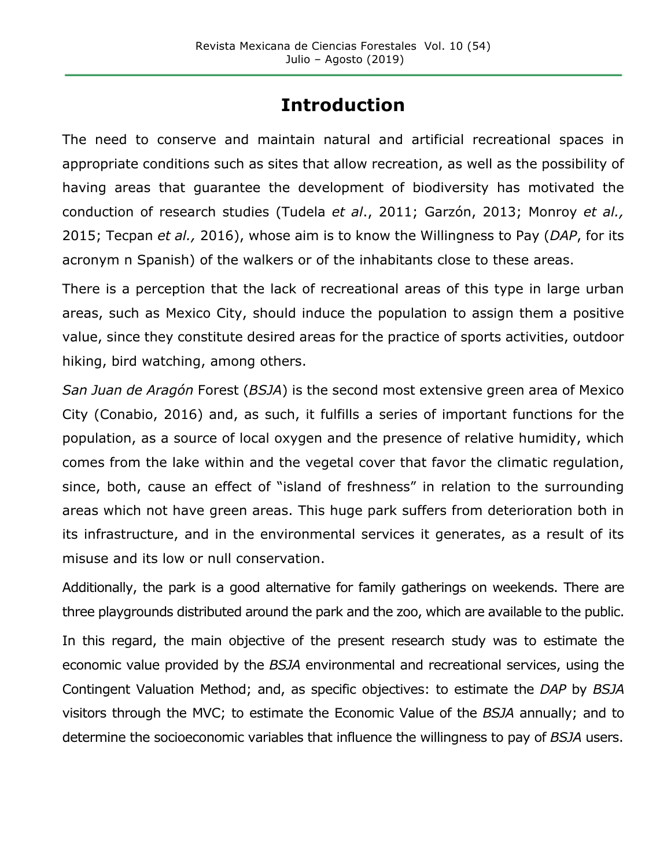# **Introduction**

The need to conserve and maintain natural and artificial recreational spaces in appropriate conditions such as sites that allow recreation, as well as the possibility of having areas that guarantee the development of biodiversity has motivated the conduction of research studies (Tudela *et al*., 2011; Garzón, 2013; Monroy *et al.,* 2015; Tecpan *et al.,* 2016), whose aim is to know the Willingness to Pay (*DAP*, for its acronym n Spanish) of the walkers or of the inhabitants close to these areas.

There is a perception that the lack of recreational areas of this type in large urban areas, such as Mexico City, should induce the population to assign them a positive value, since they constitute desired areas for the practice of sports activities, outdoor hiking, bird watching, among others.

*San Juan de Aragón* Forest (*BSJA*) is the second most extensive green area of Mexico City (Conabio, 2016) and, as such, it fulfills a series of important functions for the population, as a source of local oxygen and the presence of relative humidity, which comes from the lake within and the vegetal cover that favor the climatic regulation, since, both, cause an effect of "island of freshness" in relation to the surrounding areas which not have green areas. This huge park suffers from deterioration both in its infrastructure, and in the environmental services it generates, as a result of its misuse and its low or null conservation.

Additionally, the park is a good alternative for family gatherings on weekends. There are three playgrounds distributed around the park and the zoo, which are available to the public.

In this regard, the main objective of the present research study was to estimate the economic value provided by the *BSJA* environmental and recreational services, using the Contingent Valuation Method; and, as specific objectives: to estimate the *DAP* by *BSJA* visitors through the MVC; to estimate the Economic Value of the *BSJA* annually; and to determine the socioeconomic variables that influence the willingness to pay of *BSJA* users.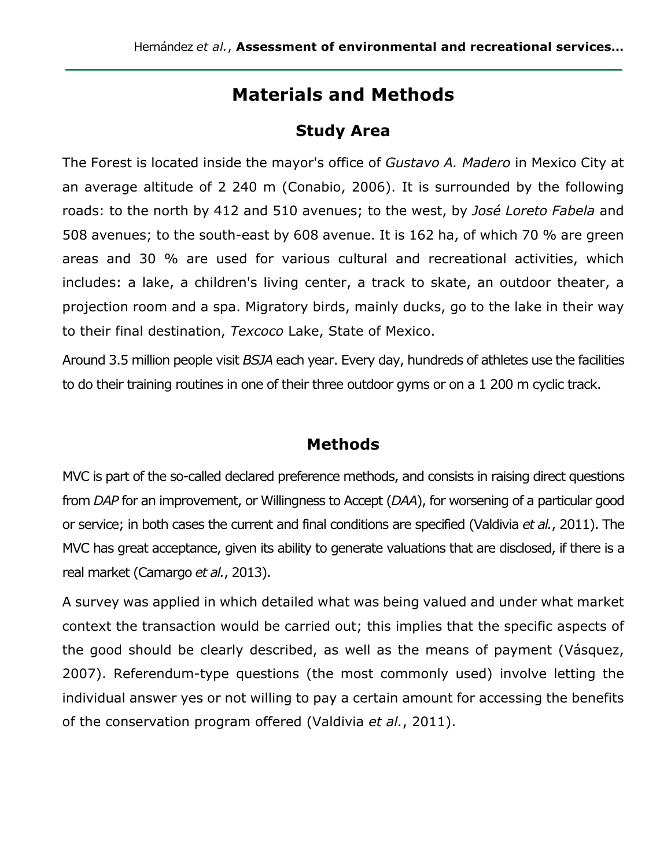## **Materials and Methods**

### **Study Area**

The Forest is located inside the mayor's office of *Gustavo A. Madero* in Mexico City at an average altitude of 2 240 m (Conabio, 2006). It is surrounded by the following roads: to the north by 412 and 510 avenues; to the west, by *José Loreto Fabela* and 508 avenues; to the south-east by 608 avenue. It is 162 ha, of which 70 % are green areas and 30 % are used for various cultural and recreational activities, which includes: a lake, a children's living center, a track to skate, an outdoor theater, a projection room and a spa. Migratory birds, mainly ducks, go to the lake in their way to their final destination, *Texcoco* Lake, State of Mexico.

Around 3.5 million people visit *BSJA* each year. Every day, hundreds of athletes use the facilities to do their training routines in one of their three outdoor gyms or on a 1 200 m cyclic track.

#### **Methods**

MVC is part of the so-called declared preference methods, and consists in raising direct questions from *DAP* for an improvement, or Willingness to Accept (*DAA*), for worsening of a particular good or service; in both cases the current and final conditions are specified (Valdivia *et al.*, 2011). The MVC has great acceptance, given its ability to generate valuations that are disclosed, if there is a real market (Camargo *et al.*, 2013).

A survey was applied in which detailed what was being valued and under what market context the transaction would be carried out; this implies that the specific aspects of the good should be clearly described, as well as the means of payment (Vásquez, 2007). Referendum-type questions (the most commonly used) involve letting the individual answer yes or not willing to pay a certain amount for accessing the benefits of the conservation program offered (Valdivia *et al.*, 2011).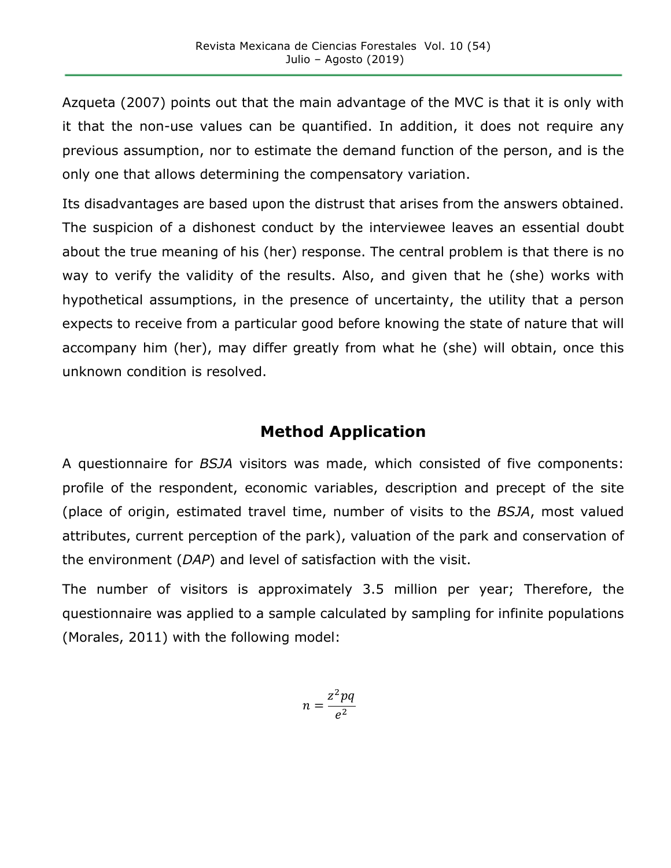Azqueta (2007) points out that the main advantage of the MVC is that it is only with it that the non-use values can be quantified. In addition, it does not require any previous assumption, nor to estimate the demand function of the person, and is the only one that allows determining the compensatory variation.

Its disadvantages are based upon the distrust that arises from the answers obtained. The suspicion of a dishonest conduct by the interviewee leaves an essential doubt about the true meaning of his (her) response. The central problem is that there is no way to verify the validity of the results. Also, and given that he (she) works with hypothetical assumptions, in the presence of uncertainty, the utility that a person expects to receive from a particular good before knowing the state of nature that will accompany him (her), may differ greatly from what he (she) will obtain, once this unknown condition is resolved.

### **Method Application**

A questionnaire for *BSJA* visitors was made, which consisted of five components: profile of the respondent, economic variables, description and precept of the site (place of origin, estimated travel time, number of visits to the *BSJA*, most valued attributes, current perception of the park), valuation of the park and conservation of the environment (*DAP*) and level of satisfaction with the visit.

The number of visitors is approximately 3.5 million per year; Therefore, the questionnaire was applied to a sample calculated by sampling for infinite populations (Morales, 2011) with the following model:

$$
n = \frac{z^2 pq}{e^2}
$$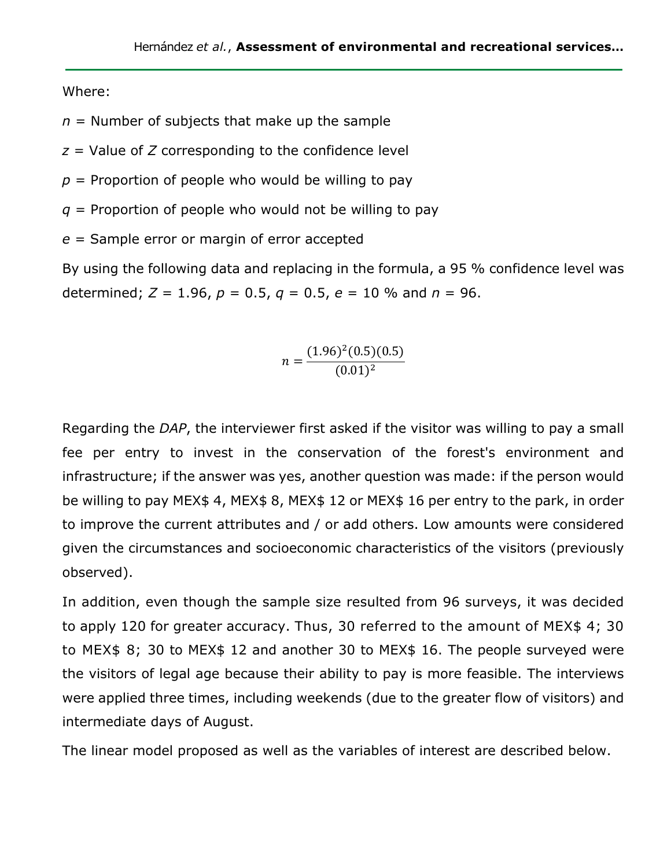Where:

- $n =$  Number of subjects that make up the sample
- *z* = Value of *Z* corresponding to the confidence level
- $p =$  Proportion of people who would be willing to pay
- *q* = Proportion of people who would not be willing to pay
- *e* = Sample error or margin of error accepted

By using the following data and replacing in the formula, a 95 % confidence level was determined;  $Z = 1.96$ ,  $p = 0.5$ ,  $q = 0.5$ ,  $e = 10$  % and  $n = 96$ .

$$
n = \frac{(1.96)^2 (0.5)(0.5)}{(0.01)^2}
$$

Regarding the *DAP*, the interviewer first asked if the visitor was willing to pay a small fee per entry to invest in the conservation of the forest's environment and infrastructure; if the answer was yes, another question was made: if the person would be willing to pay MEX\$ 4, MEX\$ 8, MEX\$ 12 or MEX\$ 16 per entry to the park, in order to improve the current attributes and / or add others. Low amounts were considered given the circumstances and socioeconomic characteristics of the visitors (previously observed).

In addition, even though the sample size resulted from 96 surveys, it was decided to apply 120 for greater accuracy. Thus, 30 referred to the amount of MEX\$ 4; 30 to MEX\$ 8; 30 to MEX\$ 12 and another 30 to MEX\$ 16. The people surveyed were the visitors of legal age because their ability to pay is more feasible. The interviews were applied three times, including weekends (due to the greater flow of visitors) and intermediate days of August.

The linear model proposed as well as the variables of interest are described below.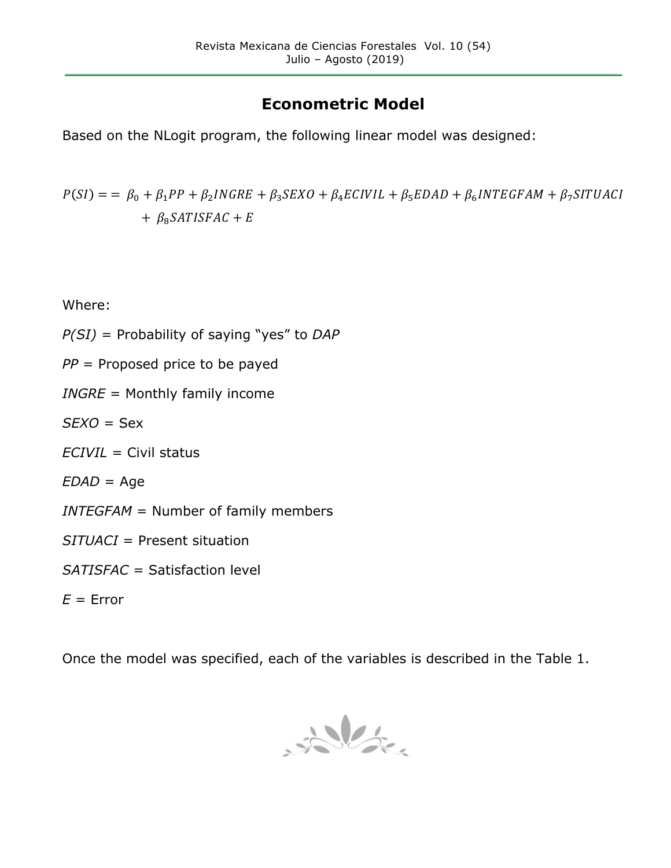# **Econometric Model**

Based on the NLogit program, the following linear model was designed:

 $P(SI) = \beta_0 + \beta_1 PP + \beta_2 INGRE + \beta_3 SEXO + \beta_4 ECIVIL + \beta_5 EDAD + \beta_6 INTEGRAM + \beta_7 SITUACI$ +  $\beta_8$ SATISFAC + E

Where:

- *P(SI)* = Probability of saying "yes" to *DAP*
- *PP* = Proposed price to be payed
- *INGRE* = Monthly family income
- *SEXO* = Sex
- *ECIVIL* = Civil status
- *EDAD* = Age
- *INTEGFAM* = Number of family members
- *SITUACI* = Present situation
- *SATISFAC* = Satisfaction level

 $E =$  Error

Once the model was specified, each of the variables is described in the Table 1.

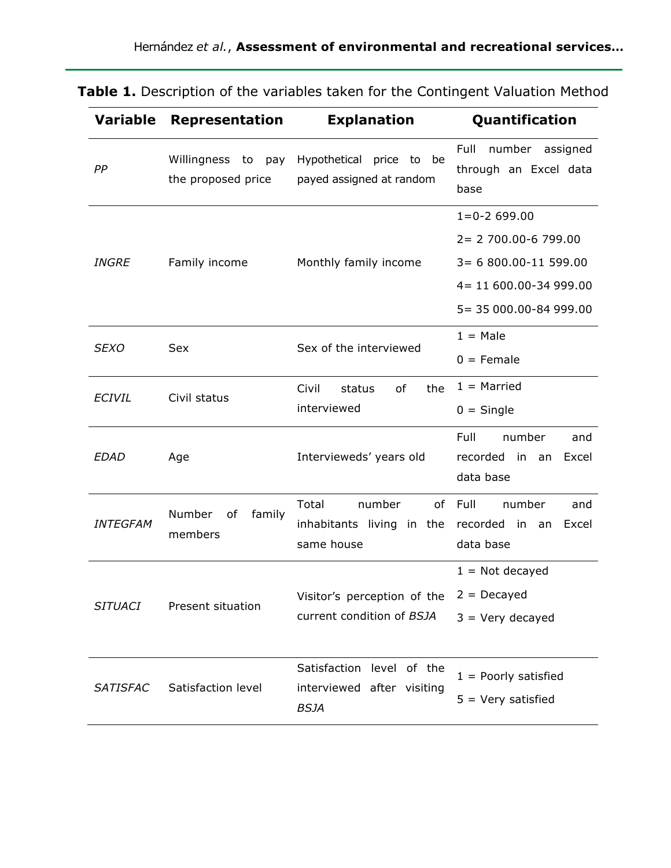| <b>Variable</b> | <b>Representation</b>                    | <b>Explanation</b>                                                     | Quantification                                                                                                             |
|-----------------|------------------------------------------|------------------------------------------------------------------------|----------------------------------------------------------------------------------------------------------------------------|
| PP              | Willingness to pay<br>the proposed price | Hypothetical price to be<br>payed assigned at random                   | Full<br>number<br>assigned<br>through an Excel data<br>base                                                                |
| <b>INGRE</b>    | Family income                            | Monthly family income                                                  | $1 = 0 - 2699.00$<br>2= 2 700.00-6 799.00<br>$3 = 6800.00 - 11599.00$<br>4= 11 600.00-34 999.00<br>5 = 35 000.00-84 999.00 |
| <i>SEXO</i>     | Sex                                      | Sex of the interviewed                                                 | $1 = Male$<br>$0 =$ Female                                                                                                 |
| <b>ECIVIL</b>   | Civil status                             | of<br>the<br>Civil<br>status<br>interviewed                            | $1 =$ Married<br>$0 =$ Single                                                                                              |
| <b>EDAD</b>     | Age                                      | Intervieweds' years old                                                | Full<br>number<br>and<br>recorded<br>in<br>Excel<br>an<br>data base                                                        |
| <b>INTEGFAM</b> | Number<br>of<br>family<br>members        | Total<br>number<br>inhabitants living in the<br>same house             | of Full<br>number<br>and<br>recorded in<br>Excel<br>an<br>data base                                                        |
| <b>SITUACI</b>  | Present situation                        | Visitor's perception of the $2 =$ Decayed<br>current condition of BSJA | $1 =$ Not decayed<br>$3 =$ Very decayed                                                                                    |
| <b>SATISFAC</b> | Satisfaction level                       | Satisfaction level of the<br>interviewed after visiting<br><b>BSJA</b> | $1 =$ Poorly satisfied<br>$5 =$ Very satisfied                                                                             |

**Table 1.** Description of the variables taken for the Contingent Valuation Method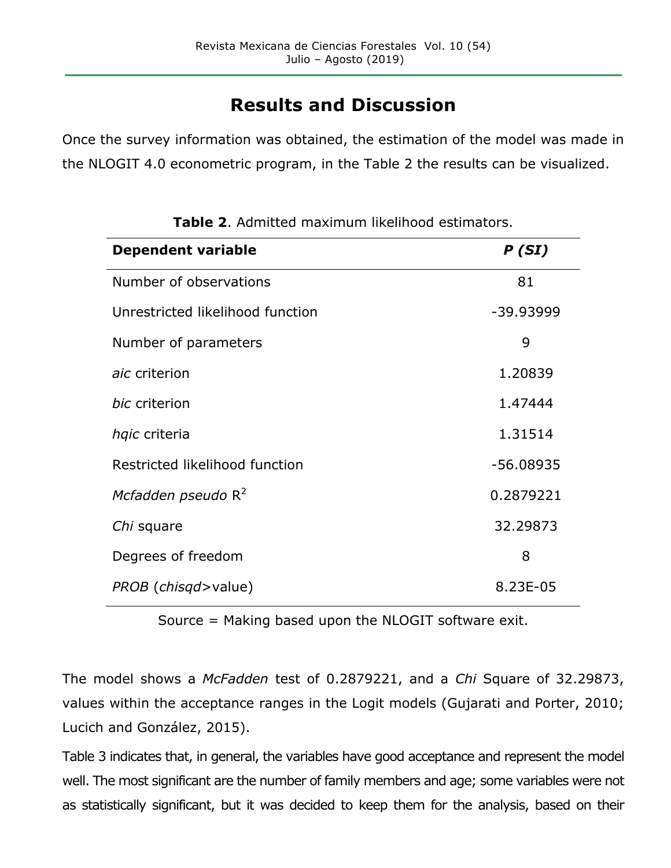# **Results and Discussion**

Once the survey information was obtained, the estimation of the model was made in the NLOGIT 4.0 econometric program, in the Table 2 the results can be visualized.

| <b>Dependent variable</b>           | P(SI)       |
|-------------------------------------|-------------|
| Number of observations              | 81          |
| Unrestricted likelihood function    | -39.93999   |
| Number of parameters                | 9           |
| aic criterion                       | 1.20839     |
| bic criterion                       | 1.47444     |
| hqic criteria                       | 1.31514     |
| Restricted likelihood function      | $-56.08935$ |
| Mcfadden pseudo $R^2$               | 0.2879221   |
| Chi square                          | 32.29873    |
| Degrees of freedom                  | 8           |
| <i>PROB</i> ( <i>chisgd</i> >value) | 8.23E-05    |

**Table 2**. Admitted maximum likelihood estimators.

Source = Making based upon the NLOGIT software exit.

The model shows a *McFadden* test of 0.2879221, and a *Chi* Square of 32.29873, values within the acceptance ranges in the Logit models (Gujarati and Porter, 2010; Lucich and González, 2015).

Table 3 indicates that, in general, the variables have good acceptance and represent the model well. The most significant are the number of family members and age; some variables were not as statistically significant, but it was decided to keep them for the analysis, based on their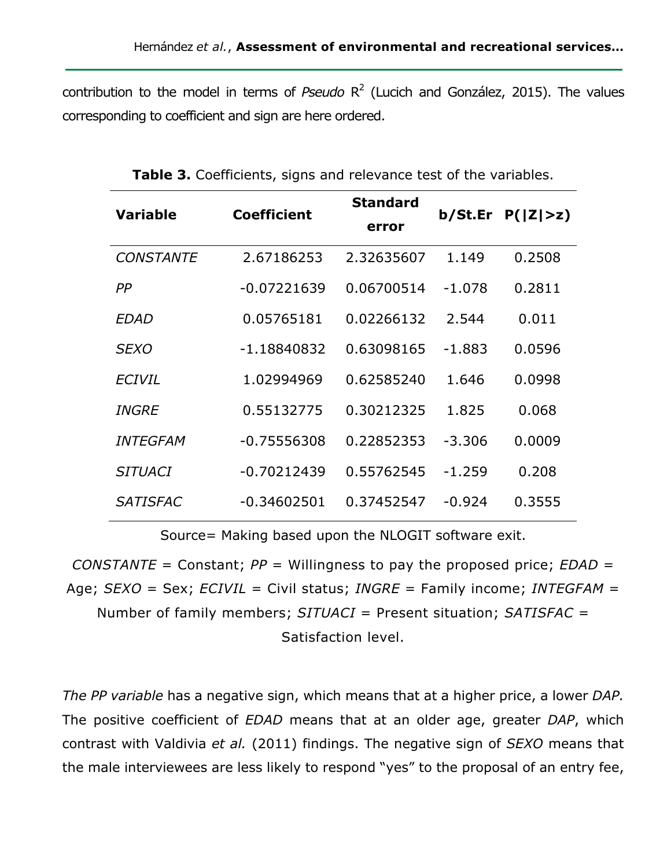contribution to the model in terms of *Pseudo* R<sup>2</sup> (Lucich and González, 2015). The values corresponding to coefficient and sign are here ordered.

| <b>Variable</b>  | Coefficient   | <b>Standard</b><br>error |          | b/St.Fr P( Z >z) |
|------------------|---------------|--------------------------|----------|------------------|
| <b>CONSTANTE</b> | 2.67186253    | 2.32635607               | 1.149    | 0.2508           |
| PP               | $-0.07221639$ | 0.06700514               | $-1.078$ | 0.2811           |
| EDAD             | 0.05765181    | 0.02266132               | 2.544    | 0.011            |
| <b>SEXO</b>      | $-1.18840832$ | 0.63098165               | $-1.883$ | 0.0596           |
| <b>ECIVIL</b>    | 1.02994969    | 0.62585240               | 1.646    | 0.0998           |
| <i>INGRE</i>     | 0.55132775    | 0.30212325               | 1.825    | 0.068            |
| <b>INTEGFAM</b>  | $-0.75556308$ | 0.22852353               | $-3.306$ | 0.0009           |
| <i>SITUACI</i>   | $-0.70212439$ | 0.55762545               | $-1.259$ | 0.208            |
| <b>SATISFAC</b>  | $-0.34602501$ | 0.37452547               | $-0.924$ | 0.3555           |

|  | Table 3. Coefficients, signs and relevance test of the variables. |  |  |  |
|--|-------------------------------------------------------------------|--|--|--|
|  |                                                                   |  |  |  |

Source= Making based upon the NLOGIT software exit.

*CONSTANTE* = Constant; *PP* = Willingness to pay the proposed price; *EDAD* = Age; *SEXO* = Sex; *ECIVIL* = Civil status; *INGRE* = Family income; *INTEGFAM* = Number of family members; *SITUACI* = Present situation; *SATISFAC* = Satisfaction level.

*The PP variable* has a negative sign, which means that at a higher price, a lower *DAP.* The positive coefficient of *EDAD* means that at an older age, greater *DAP*, which contrast with Valdivia *et al.* (2011) findings. The negative sign of *SEXO* means that the male interviewees are less likely to respond "yes" to the proposal of an entry fee,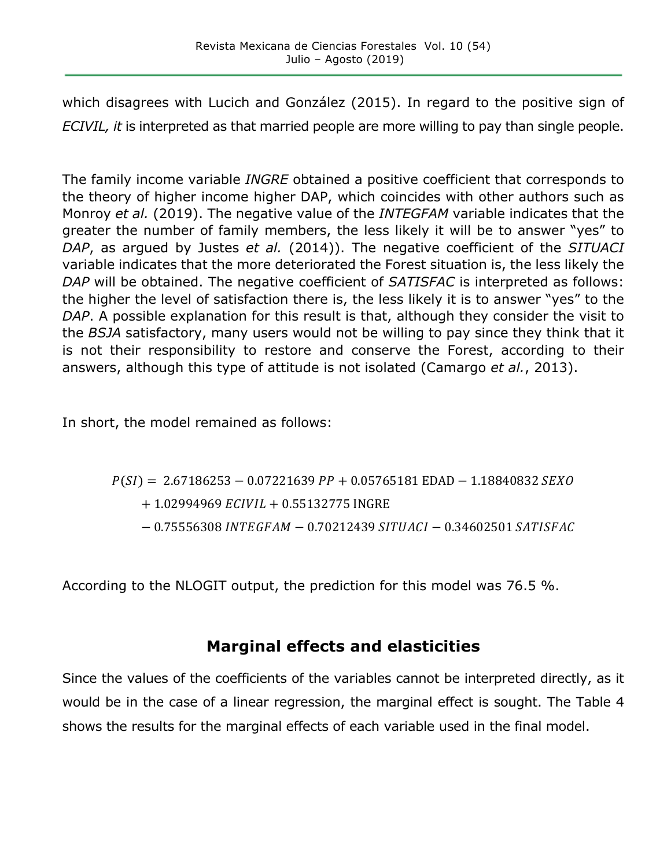which disagrees with Lucich and González (2015). In regard to the positive sign of *ECIVIL, it* is interpreted as that married people are more willing to pay than single people.

The family income variable *INGRE* obtained a positive coefficient that corresponds to the theory of higher income higher DAP, which coincides with other authors such as Monroy *et al.* (2019). The negative value of the *INTEGFAM* variable indicates that the greater the number of family members, the less likely it will be to answer "yes" to *DAP*, as argued by Justes *et al.* (2014)). The negative coefficient of the *SITUACI* variable indicates that the more deteriorated the Forest situation is, the less likely the *DAP* will be obtained. The negative coefficient of *SATISFAC* is interpreted as follows: the higher the level of satisfaction there is, the less likely it is to answer "yes" to the *DAP*. A possible explanation for this result is that, although they consider the visit to the *BSJA* satisfactory, many users would not be willing to pay since they think that it is not their responsibility to restore and conserve the Forest, according to their answers, although this type of attitude is not isolated (Camargo *et al.*, 2013).

In short, the model remained as follows:

 $P(SI) = 2.67186253 - 0.07221639 PP + 0.05765181 EDAD - 1.18840832 SEXO$  $+ 1.02994969$   $ECIVIL + 0.55132775$  INGRE − 0.75556308 INTEGFAM − 0.70212439 SITUACI − 0.34602501 SATISFAC

According to the NLOGIT output, the prediction for this model was 76.5 %.

## **Marginal effects and elasticities**

Since the values of the coefficients of the variables cannot be interpreted directly, as it would be in the case of a linear regression, the marginal effect is sought. The Table 4 shows the results for the marginal effects of each variable used in the final model.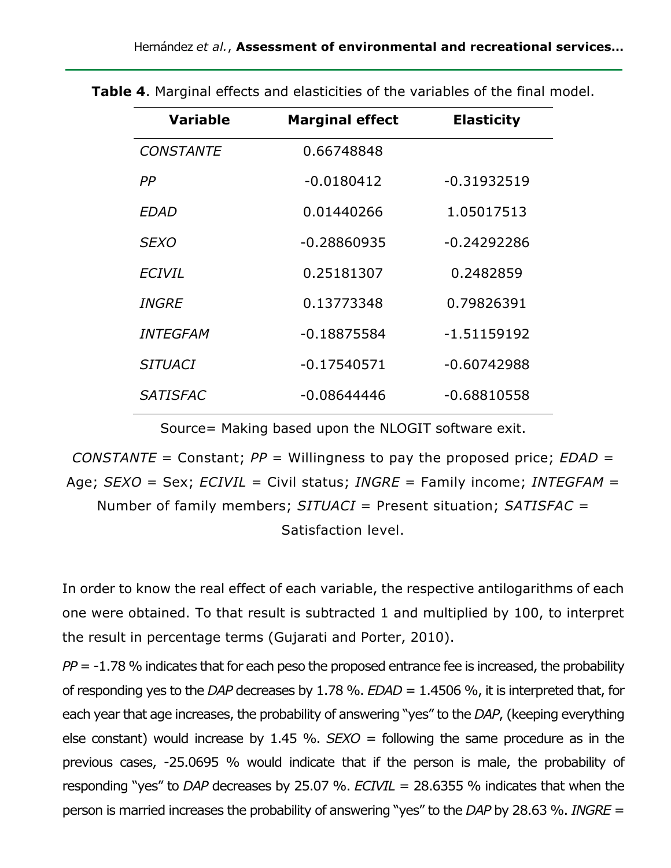| <b>Variable</b>     | <b>Marginal effect</b> | <b>Elasticity</b> |
|---------------------|------------------------|-------------------|
| <b>CONSTANTE</b>    | 0.66748848             |                   |
| РP                  | $-0.0180412$           | $-0.31932519$     |
| <b>EDAD</b>         | 0.01440266             | 1.05017513        |
| <b>SEXO</b>         | $-0.28860935$          | $-0.24292286$     |
| <b>ECIVIL</b>       | 0.25181307             | 0.2482859         |
| <i><b>INGRE</b></i> | 0.13773348             | 0.79826391        |
| <b>INTEGFAM</b>     | $-0.18875584$          | $-1.51159192$     |
| <b>SITUACI</b>      | $-0.17540571$          | $-0.60742988$     |
| <b>SATISFAC</b>     | $-0.08644446$          | $-0.68810558$     |

**Table 4**. Marginal effects and elasticities of the variables of the final model.

Source= Making based upon the NLOGIT software exit.

*CONSTANTE* = Constant; *PP* = Willingness to pay the proposed price; *EDAD* = Age; *SEXO* = Sex; *ECIVIL* = Civil status; *INGRE* = Family income; *INTEGFAM* = Number of family members; *SITUACI* = Present situation; *SATISFAC* = Satisfaction level.

In order to know the real effect of each variable, the respective antilogarithms of each one were obtained. To that result is subtracted 1 and multiplied by 100, to interpret the result in percentage terms (Gujarati and Porter, 2010).

*PP* = -1.78 % indicates that for each peso the proposed entrance fee is increased, the probability of responding yes to the *DAP* decreases by 1.78 %. *EDAD* = 1.4506 %, it is interpreted that, for each year that age increases, the probability of answering "yes" to the *DAP*, (keeping everything else constant) would increase by 1.45 %.  $SEXO =$  following the same procedure as in the previous cases, -25.0695 % would indicate that if the person is male, the probability of responding "yes" to *DAP* decreases by 25.07 %. *ECIVIL* = 28.6355 % indicates that when the person is married increases the probability of answering "yes" to the *DAP* by 28.63 %. *INGRE* =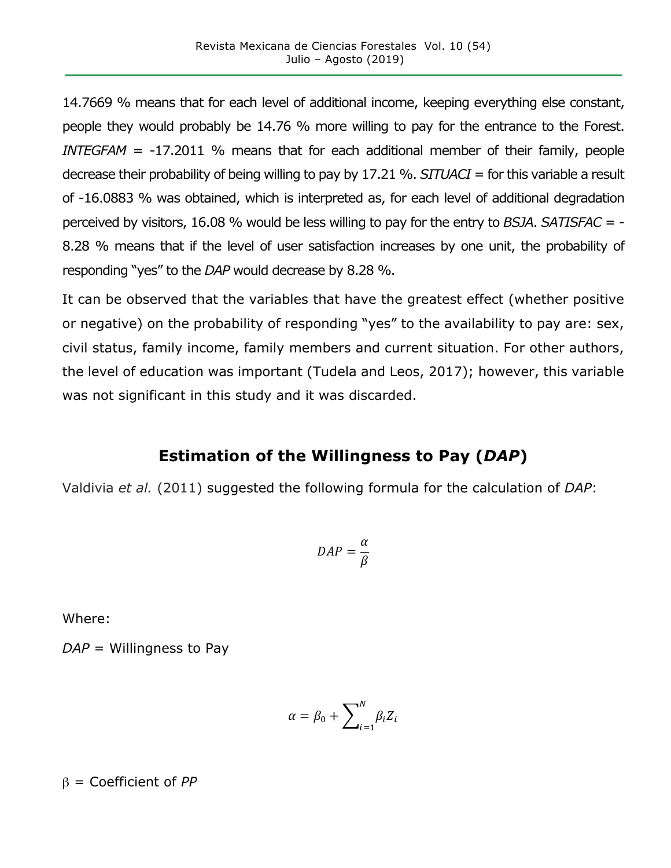14.7669 % means that for each level of additional income, keeping everything else constant, people they would probably be 14.76 % more willing to pay for the entrance to the Forest. *INTEGFAM* = -17.2011 % means that for each additional member of their family, people decrease their probability of being willing to pay by 17.21 %. *SITUACI* = for this variable a result of -16.0883 % was obtained, which is interpreted as, for each level of additional degradation perceived by visitors, 16.08 % would be less willing to pay for the entry to *BSJA*. *SATISFAC* = - 8.28 % means that if the level of user satisfaction increases by one unit, the probability of responding "yes" to the *DAP* would decrease by 8.28 %.

It can be observed that the variables that have the greatest effect (whether positive or negative) on the probability of responding "yes" to the availability to pay are: sex, civil status, family income, family members and current situation. For other authors, the level of education was important (Tudela and Leos, 2017); however, this variable was not significant in this study and it was discarded.

### **Estimation of the Willingness to Pay (***DAP***)**

Valdivia *et al.* (2011) suggested the following formula for the calculation of *DAP*:

$$
DAP = \frac{\alpha}{\beta}
$$

Where:

*DAP* = Willingness to Pay

$$
\alpha = \beta_0 + \sum_{i=1}^{N} \beta_i Z_i
$$

β = Coefficient of *PP*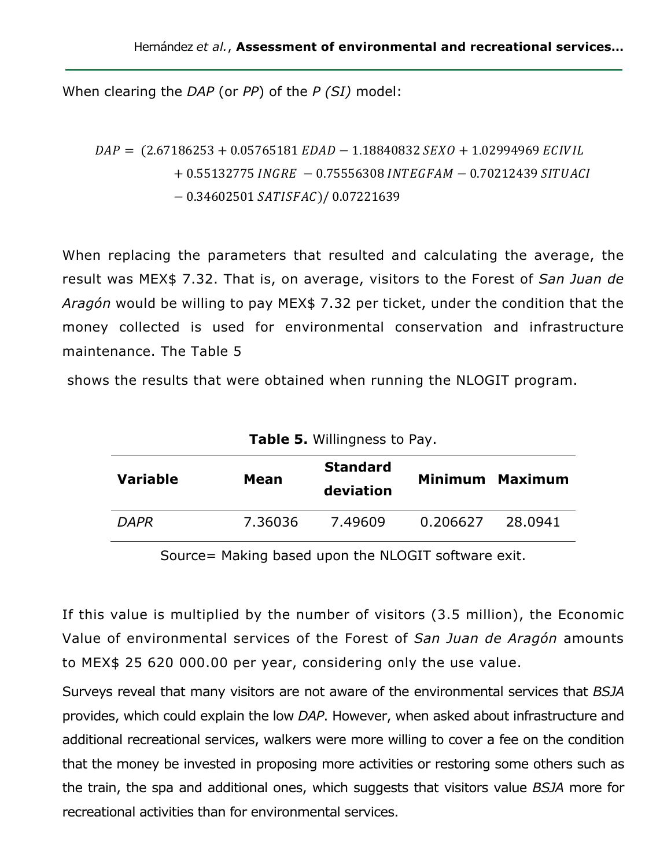When clearing the *DAP* (or *PP*) of the *P (SI)* model:

```
DAP = (2.67186253 + 0.05765181 \text{ E} DAD - 1.18840832 \text{ SE} XO + 1.02994969 \text{ EC} IVIL)+ 0.55132775 INGRE - 0.75556308 INTEGFAM - 0.70212439 SITUACI
 − 0.34602501 SATISFAC)/ 0.07221639
```
When replacing the parameters that resulted and calculating the average, the result was MEX\$ 7.32. That is, on average, visitors to the Forest of *San Juan de Aragón* would be willing to pay MEX\$ 7.32 per ticket, under the condition that the money collected is used for environmental conservation and infrastructure maintenance. The Table 5

shows the results that were obtained when running the NLOGIT program.

| $\frac{1}{2}$   |         |                              |          |                 |  |
|-----------------|---------|------------------------------|----------|-----------------|--|
| <b>Variable</b> | Mean    | <b>Standard</b><br>deviation |          | Minimum Maximum |  |
| <b>DAPR</b>     | 7.36036 | 7.49609                      | 0.206627 | 28.0941         |  |

**Table 5.** Willingness to Pay.

Source= Making based upon the NLOGIT software exit.

If this value is multiplied by the number of visitors (3.5 million), the Economic Value of environmental services of the Forest of *San Juan de Aragón* amounts to MEX\$ 25 620 000.00 per year, considering only the use value.

Surveys reveal that many visitors are not aware of the environmental services that *BSJA* provides, which could explain the low *DAP*. However, when asked about infrastructure and additional recreational services, walkers were more willing to cover a fee on the condition that the money be invested in proposing more activities or restoring some others such as the train, the spa and additional ones, which suggests that visitors value *BSJA* more for recreational activities than for environmental services.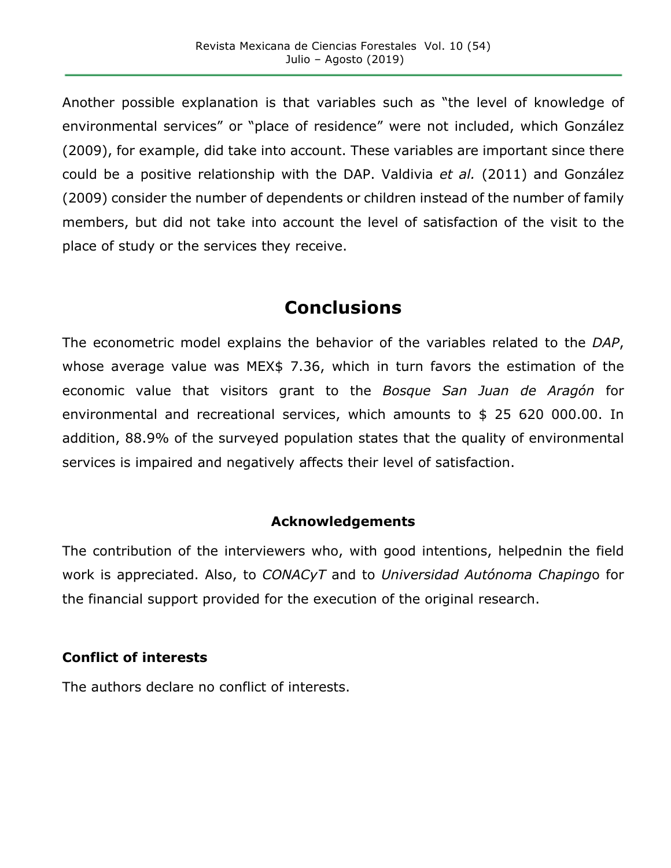Another possible explanation is that variables such as "the level of knowledge of environmental services" or "place of residence" were not included, which González (2009), for example, did take into account. These variables are important since there could be a positive relationship with the DAP. Valdivia *et al.* (2011) and González (2009) consider the number of dependents or children instead of the number of family members, but did not take into account the level of satisfaction of the visit to the place of study or the services they receive.

# **Conclusions**

The econometric model explains the behavior of the variables related to the *DAP*, whose average value was MEX\$ 7.36, which in turn favors the estimation of the economic value that visitors grant to the *Bosque San Juan de Aragón* for environmental and recreational services, which amounts to \$ 25 620 000.00. In addition, 88.9% of the surveyed population states that the quality of environmental services is impaired and negatively affects their level of satisfaction.

#### **Acknowledgements**

The contribution of the interviewers who, with good intentions, helpednin the field work is appreciated. Also, to *CONACyT* and to *Universidad Autónoma Chaping*o for the financial support provided for the execution of the original research.

#### **Conflict of interests**

The authors declare no conflict of interests.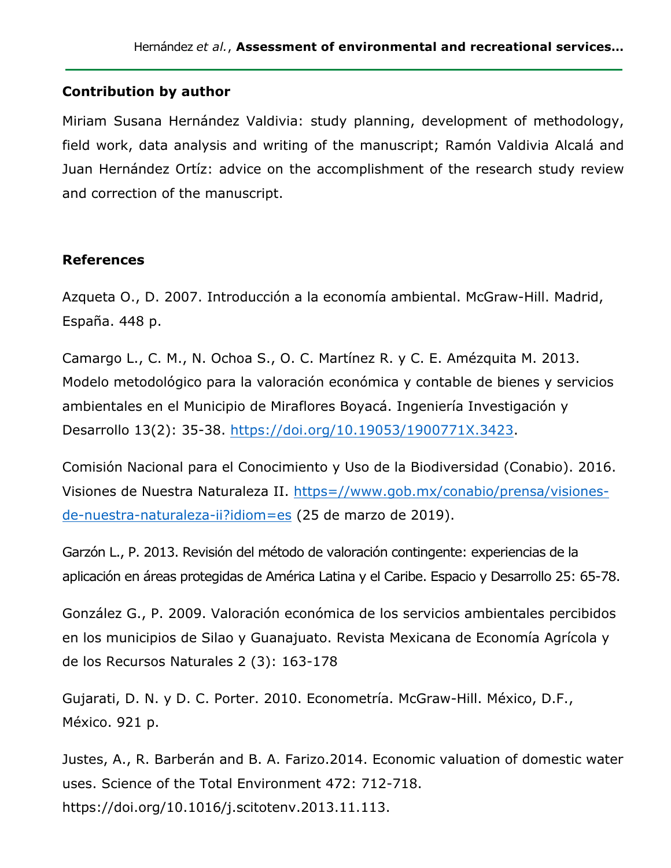#### **Contribution by author**

Miriam Susana Hernández Valdivia: study planning, development of methodology, field work, data analysis and writing of the manuscript; Ramón Valdivia Alcalá and Juan Hernández Ortíz: advice on the accomplishment of the research study review and correction of the manuscript.

#### **References**

Azqueta O., D. 2007. Introducción a la economía ambiental. McGraw-Hill. Madrid, España. 448 p.

Camargo L., C. M., N. Ochoa S., O. C. Martínez R. y C. E. Amézquita M. 2013. Modelo metodológico para la valoración económica y contable de bienes y servicios ambientales en el Municipio de Miraflores Boyacá. Ingeniería Investigación y Desarrollo 13(2): 35-38. https://doi.org/10.19053/1900771X.3423.

Comisión Nacional para el Conocimiento y Uso de la Biodiversidad (Conabio). 2016. Visiones de Nuestra Naturaleza II. https=//www.gob.mx/conabio/prensa/visionesde-nuestra-naturaleza-ii?idiom=es (25 de marzo de 2019).

Garzón L., P. 2013. Revisión del método de valoración contingente: experiencias de la aplicación en áreas protegidas de América Latina y el Caribe. Espacio y Desarrollo 25: 65-78.

González G., P. 2009. Valoración económica de los servicios ambientales percibidos en los municipios de Silao y Guanajuato. Revista Mexicana de Economía Agrícola y de los Recursos Naturales 2 (3): 163-178

Gujarati, D. N. y D. C. Porter. 2010. Econometría. McGraw-Hill. México, D.F., México. 921 p.

Justes, A., R. Barberán and B. A. Farizo.2014. Economic valuation of domestic water uses. Science of the Total Environment 472: 712-718. https://doi.org/10.1016/j.scitotenv.2013.11.113.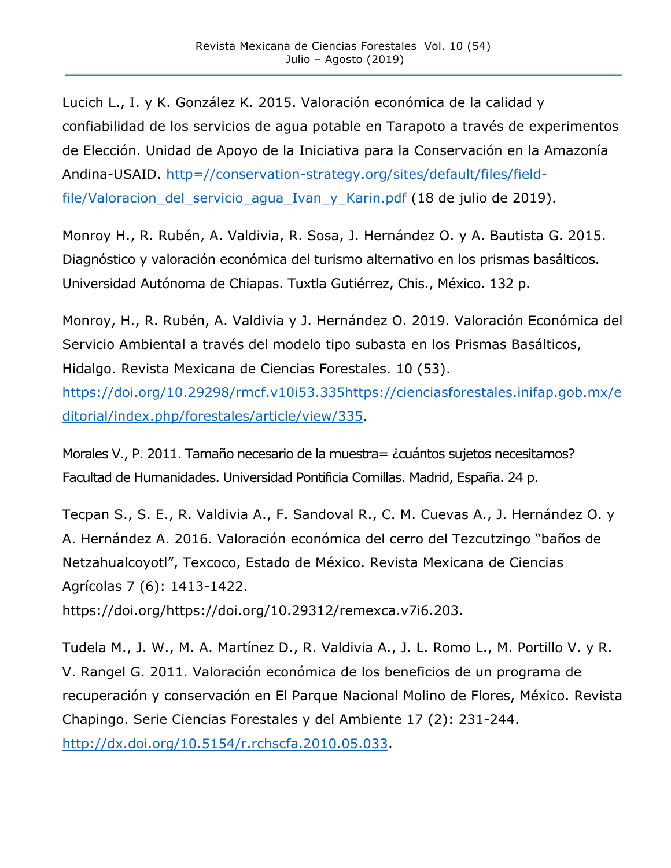Lucich L., I. y K. González K. 2015. Valoración económica de la calidad y confiabilidad de los servicios de agua potable en Tarapoto a través de experimentos de Elección. Unidad de Apoyo de la Iniciativa para la Conservación en la Amazonía Andina-USAID. http=//conservation-strategy.org/sites/default/files/fieldfile/Valoracion\_del\_servicio\_agua\_Ivan\_y\_Karin.pdf (18 de julio de 2019).

Monroy H., R. Rubén, A. Valdivia, R. Sosa, J. Hernández O. y A. Bautista G. 2015. Diagnóstico y valoración económica del turismo alternativo en los prismas basálticos. Universidad Autónoma de Chiapas. Tuxtla Gutiérrez, Chis., México. 132 p.

Monroy, H., R. Rubén, A. Valdivia y J. Hernández O. 2019. Valoración Económica del Servicio Ambiental a través del modelo tipo subasta en los Prismas Basálticos, Hidalgo. Revista Mexicana de Ciencias Forestales. 10 (53).

https://doi.org/10.29298/rmcf.v10i53.335https://cienciasforestales.inifap.gob.mx/e ditorial/index.php/forestales/article/view/335.

Morales V., P. 2011. Tamaño necesario de la muestra= ¿cuántos sujetos necesitamos? Facultad de Humanidades. Universidad Pontificia Comillas. Madrid, España. 24 p.

Tecpan S., S. E., R. Valdivia A., F. Sandoval R., C. M. Cuevas A., J. Hernández O. y A. Hernández A. 2016. Valoración económica del cerro del Tezcutzingo "baños de Netzahualcoyotl", Texcoco, Estado de México. Revista Mexicana de Ciencias Agrícolas 7 (6): 1413-1422.

https://doi.org/https://doi.org/10.29312/remexca.v7i6.203.

Tudela M., J. W., M. A. Martínez D., R. Valdivia A., J. L. Romo L., M. Portillo V. y R. V. Rangel G. 2011. Valoración económica de los beneficios de un programa de recuperación y conservación en El Parque Nacional Molino de Flores, México. Revista Chapingo. Serie Ciencias Forestales y del Ambiente 17 (2): 231-244. http://dx.doi.org/10.5154/r.rchscfa.2010.05.033.